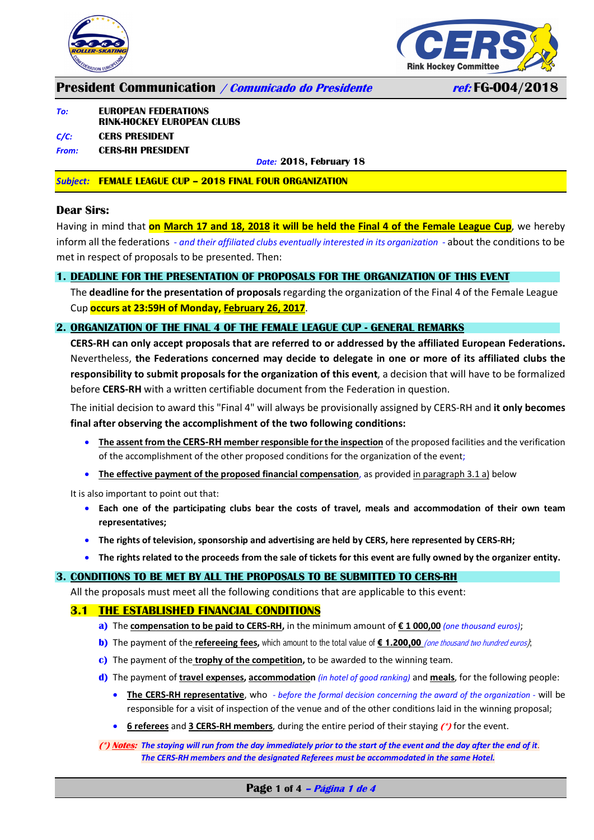



### **President Communication / Comunicado do Presidente ref: FG-004/2018**

#### *To:* **EUROPEAN FEDERATIONS RINK-H0CKEY EUROPEAN CLUBS**

# *C/C:* **CERS PRESIDENT**

### *From:* **CERS-RH PRESIDENT**

*Date:* **2018, February 18**

#### *Subject:* **FEMALE LEAGUE CUP – 2018 FINAL FOUR ORGANIZATION**

#### **Dear Sirs:**

Having in mind that **on March 17 and 18, 2018 it will be held the Final 4 of the Female League Cup**, we hereby inform all the federations *- and their affiliated clubs eventually interested in its organization -* about the conditions to be met in respect of proposals to be presented. Then:

#### **1. DEADLINE FOR THE PRESENTATION OF PROPOSALS FOR THE ORGANIZATION OF THIS EVENT**

The **deadline for the presentation of proposals**regarding the organization of the Final 4 of the Female League Cup **occurs at 23:59H of Monday, February 26, 2017**.

#### **2. ORGANIZATION OF THE FINAL 4 OF THE FEMALE LEAGUE CUP - GENERAL REMARKS**

**CERS-RH can only accept proposals that are referred to or addressed by the affiliated European Federations.**  Nevertheless, **the Federations concerned may decide to delegate in one or more of its affiliated clubs the responsibility to submit proposals for the organization of this event**, a decision that will have to be formalized before **CERS-RH** with a written certifiable document from the Federation in question.

The initial decision to award this "Final 4" will always be provisionally assigned by CERS-RH and **it only becomes final after observing the accomplishment of the two following conditions:**

- **The assent from the CERS-RH member responsible for the inspection** of the proposed facilities and the verification of the accomplishment of the other proposed conditions for the organization of the event;
- **The effective payment of the proposed financial compensation**, as provided in paragraph 3.1 a) below

It is also important to point out that:

- **Each one of the participating clubs bear the costs of travel, meals and accommodation of their own team representatives;**
- **The rights of television, sponsorship and advertising are held by CERS, here represented by CERS-RH;**
- **The rights related to the proceeds from the sale of tickets for this event are fully owned by the organizer entity.**

#### **3. CONDITIONS TO BE MET BY ALL THE PROPOSALS TO BE SUBMITTED TO CERS-RH**

All the proposals must meet all the following conditions that are applicable to this event:

#### **3.1 THE ESTABLISHED FINANCIAL CONDITIONS**

- **a)** The **compensation to be paid to CERS-RH,** in the minimum amount of **€ 1 000,00** *(one thousand euros)*;
- **b)** The payment of the **refereeing fees**, which amount to the total value of **€** 1.200,00 (one thousand two hundred euros);
- **c)** The payment of the **trophy of the competition,** to be awarded to the winning team.
- **d)** The payment of **travel expenses, accommodation** *(in hotel of good ranking)* and **meals**, for the following people:
	- **The CERS-RH representative**, who *- before the formal decision concerning the award of the organization -* will be responsible for a visit of inspection of the venue and of the other conditions laid in the winning proposal;
	- **6 referees** and **3 CERS-RH members**, during the entire period of their staying **(\*)** for the event.

**(\*) Notes:** *The staying will run from the day immediately prior to the start of the event and the day after the end of it*. *The CERS-RH members and the designated Referees must be accommodated in the same Hotel.*